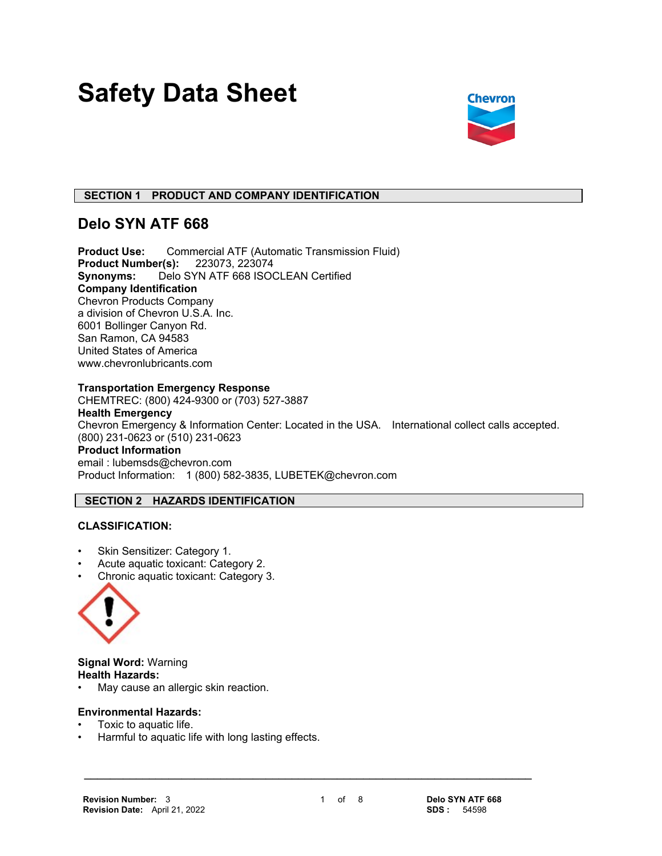# **Safety Data Sheet**



## **SECTION 1 PRODUCT AND COMPANY IDENTIFICATION**

## **Delo SYN ATF 668**

Product Use: Commercial ATF (Automatic Transmission Fluid)<br>Product Number(s): 223073, 223074 **Product Number(s): Synonyms:** Delo SYN ATF 668 ISOCLEAN Certified **Company Identification** Chevron Products Company a division of Chevron U.S.A. Inc. 6001 Bollinger Canyon Rd. San Ramon, CA 94583 United States of America www.chevronlubricants.com

## **Transportation Emergency Response**

CHEMTREC: (800) 424-9300 or (703) 527-3887 **Health Emergency** Chevron Emergency & Information Center: Located in the USA. International collect calls accepted. (800) 231-0623 or (510) 231-0623 **Product Information** email : lubemsds@chevron.com Product Information: 1 (800) 582-3835, LUBETEK@chevron.com

## **SECTION 2 HAZARDS IDENTIFICATION**

## **CLASSIFICATION:**

- Skin Sensitizer: Category 1.
- Acute aquatic toxicant: Category 2.
- Chronic aquatic toxicant: Category 3.



**Signal Word:** Warning **Health Hazards:** 

May cause an allergic skin reaction.

#### **Environmental Hazards:**

- Toxic to aquatic life.
- Harmful to aquatic life with long lasting effects.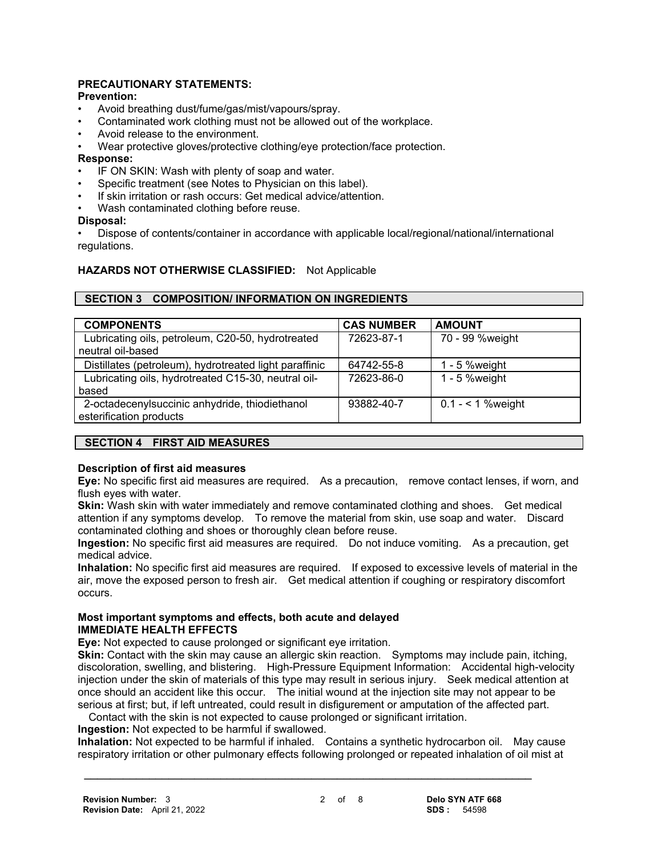## **PRECAUTIONARY STATEMENTS:**

## **Prevention:**

- Avoid breathing dust/fume/gas/mist/vapours/spray.
- Contaminated work clothing must not be allowed out of the workplace.
- Avoid release to the environment.
- Wear protective gloves/protective clothing/eye protection/face protection.

## **Response:**

- IF ON SKIN: Wash with plenty of soap and water.
- Specific treatment (see Notes to Physician on this label).
- If skin irritation or rash occurs: Get medical advice/attention.
- Wash contaminated clothing before reuse.

## **Disposal:**

• Dispose of contents/container in accordance with applicable local/regional/national/international regulations.

## **HAZARDS NOT OTHERWISE CLASSIFIED:** Not Applicable

## **SECTION 3 COMPOSITION/ INFORMATION ON INGREDIENTS**

| <b>CAS NUMBER</b> | <b>AMOUNT</b>      |
|-------------------|--------------------|
| 72623-87-1        | 70 - 99 %weight    |
|                   |                    |
| 64742-55-8        | - 5 %weight        |
| 72623-86-0        | $1 - 5$ % weight   |
|                   |                    |
| 93882-40-7        | $0.1 - 1$ % weight |
|                   |                    |

## **SECTION 4 FIRST AID MEASURES**

#### **Description of first aid measures**

**Eye:** No specific first aid measures are required. As a precaution, remove contact lenses, if worn, and flush eyes with water.

**Skin:** Wash skin with water immediately and remove contaminated clothing and shoes. Get medical attention if any symptoms develop. To remove the material from skin, use soap and water. Discard contaminated clothing and shoes or thoroughly clean before reuse.

**Ingestion:** No specific first aid measures are required. Do not induce vomiting. As a precaution, get medical advice.

**Inhalation:** No specific first aid measures are required. If exposed to excessive levels of material in the air, move the exposed person to fresh air. Get medical attention if coughing or respiratory discomfort occurs.

#### **Most important symptoms and effects, both acute and delayed IMMEDIATE HEALTH EFFECTS**

**Eye:** Not expected to cause prolonged or significant eye irritation.

**Skin:** Contact with the skin may cause an allergic skin reaction. Symptoms may include pain, itching, discoloration, swelling, and blistering. High-Pressure Equipment Information: Accidental high-velocity injection under the skin of materials of this type may result in serious injury. Seek medical attention at once should an accident like this occur. The initial wound at the injection site may not appear to be serious at first; but, if left untreated, could result in disfigurement or amputation of the affected part.

Contact with the skin is not expected to cause prolonged or significant irritation.

## **Ingestion:** Not expected to be harmful if swallowed.

**Inhalation:** Not expected to be harmful if inhaled. Contains a synthetic hydrocarbon oil. May cause respiratory irritation or other pulmonary effects following prolonged or repeated inhalation of oil mist at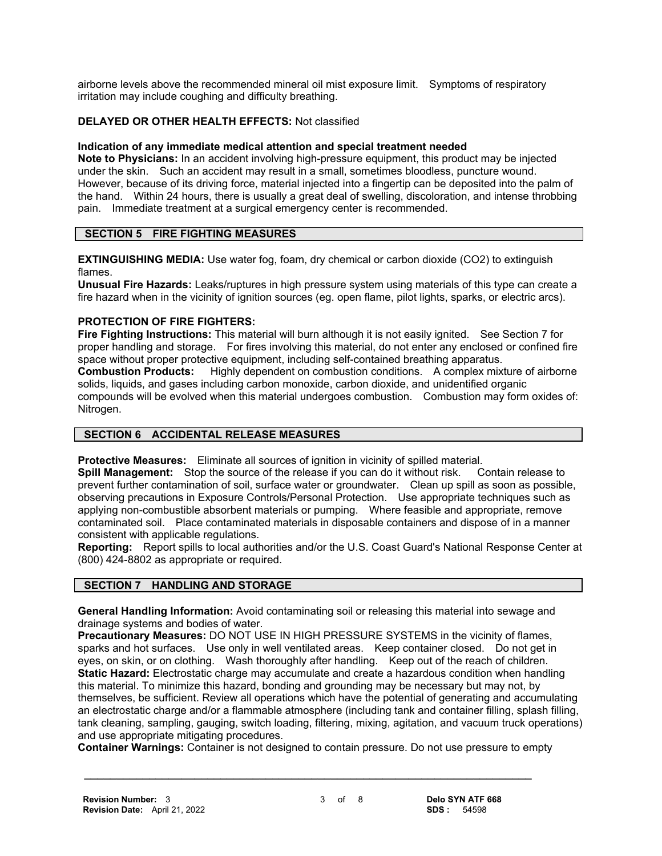airborne levels above the recommended mineral oil mist exposure limit. Symptoms of respiratory irritation may include coughing and difficulty breathing.

## **DELAYED OR OTHER HEALTH EFFECTS:** Not classified

## **Indication of any immediate medical attention and special treatment needed**

**Note to Physicians:** In an accident involving high-pressure equipment, this product may be injected under the skin. Such an accident may result in a small, sometimes bloodless, puncture wound. However, because of its driving force, material injected into a fingertip can be deposited into the palm of the hand. Within 24 hours, there is usually a great deal of swelling, discoloration, and intense throbbing pain. Immediate treatment at a surgical emergency center is recommended.

## **SECTION 5 FIRE FIGHTING MEASURES**

**EXTINGUISHING MEDIA:** Use water fog, foam, dry chemical or carbon dioxide (CO2) to extinguish flames.

**Unusual Fire Hazards:** Leaks/ruptures in high pressure system using materials of this type can create a fire hazard when in the vicinity of ignition sources (eg. open flame, pilot lights, sparks, or electric arcs).

## **PROTECTION OF FIRE FIGHTERS:**

**Fire Fighting Instructions:** This material will burn although it is not easily ignited. See Section 7 for proper handling and storage. For fires involving this material, do not enter any enclosed or confined fire space without proper protective equipment, including self-contained breathing apparatus.

**Combustion Products:** Highly dependent on combustion conditions. A complex mixture of airborne solids, liquids, and gases including carbon monoxide, carbon dioxide, and unidentified organic compounds will be evolved when this material undergoes combustion. Combustion may form oxides of: Nitrogen.

## **SECTION 6 ACCIDENTAL RELEASE MEASURES**

**Protective Measures:** Eliminate all sources of ignition in vicinity of spilled material.

**Spill Management:** Stop the source of the release if you can do it without risk. Contain release to prevent further contamination of soil, surface water or groundwater. Clean up spill as soon as possible, observing precautions in Exposure Controls/Personal Protection. Use appropriate techniques such as applying non-combustible absorbent materials or pumping. Where feasible and appropriate, remove contaminated soil. Place contaminated materials in disposable containers and dispose of in a manner consistent with applicable regulations.

**Reporting:** Report spills to local authorities and/or the U.S. Coast Guard's National Response Center at (800) 424-8802 as appropriate or required.

## **SECTION 7 HANDLING AND STORAGE**

**General Handling Information:** Avoid contaminating soil or releasing this material into sewage and drainage systems and bodies of water.

**Precautionary Measures:** DO NOT USE IN HIGH PRESSURE SYSTEMS in the vicinity of flames, sparks and hot surfaces. Use only in well ventilated areas. Keep container closed. Do not get in eyes, on skin, or on clothing. Wash thoroughly after handling. Keep out of the reach of children. **Static Hazard:** Electrostatic charge may accumulate and create a hazardous condition when handling this material. To minimize this hazard, bonding and grounding may be necessary but may not, by themselves, be sufficient. Review all operations which have the potential of generating and accumulating an electrostatic charge and/or a flammable atmosphere (including tank and container filling, splash filling, tank cleaning, sampling, gauging, switch loading, filtering, mixing, agitation, and vacuum truck operations) and use appropriate mitigating procedures.

**Container Warnings:** Container is not designed to contain pressure. Do not use pressure to empty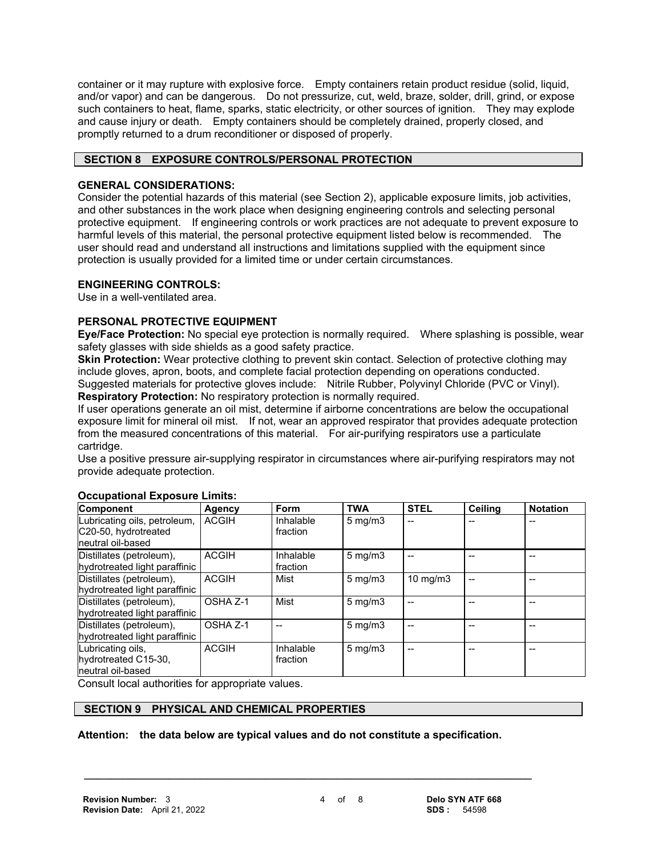container or it may rupture with explosive force. Empty containers retain product residue (solid, liquid, and/or vapor) and can be dangerous. Do not pressurize, cut, weld, braze, solder, drill, grind, or expose such containers to heat, flame, sparks, static electricity, or other sources of ignition. They may explode and cause injury or death. Empty containers should be completely drained, properly closed, and promptly returned to a drum reconditioner or disposed of properly.

## **SECTION 8 EXPOSURE CONTROLS/PERSONAL PROTECTION**

## **GENERAL CONSIDERATIONS:**

Consider the potential hazards of this material (see Section 2), applicable exposure limits, job activities, and other substances in the work place when designing engineering controls and selecting personal protective equipment. If engineering controls or work practices are not adequate to prevent exposure to harmful levels of this material, the personal protective equipment listed below is recommended. The user should read and understand all instructions and limitations supplied with the equipment since protection is usually provided for a limited time or under certain circumstances.

## **ENGINEERING CONTROLS:**

Use in a well-ventilated area.

## **PERSONAL PROTECTIVE EQUIPMENT**

**Eye/Face Protection:** No special eye protection is normally required. Where splashing is possible, wear safety glasses with side shields as a good safety practice.

**Skin Protection:** Wear protective clothing to prevent skin contact. Selection of protective clothing may include gloves, apron, boots, and complete facial protection depending on operations conducted. Suggested materials for protective gloves include: Nitrile Rubber, Polyvinyl Chloride (PVC or Vinyl). **Respiratory Protection:** No respiratory protection is normally required.

If user operations generate an oil mist, determine if airborne concentrations are below the occupational exposure limit for mineral oil mist. If not, wear an approved respirator that provides adequate protection from the measured concentrations of this material. For air-purifying respirators use a particulate cartridge.

Use a positive pressure air-supplying respirator in circumstances where air-purifying respirators may not provide adequate protection.

| <b>Component</b>                                                          | Agency       | Form                  | <b>TWA</b>       | <b>STEL</b>       | Ceiling | <b>Notation</b> |
|---------------------------------------------------------------------------|--------------|-----------------------|------------------|-------------------|---------|-----------------|
| Lubricating oils, petroleum,<br>C20-50, hydrotreated<br>neutral oil-based | <b>ACGIH</b> | Inhalable<br>fraction | $5 \text{ mg/m}$ |                   |         |                 |
| Distillates (petroleum),<br>hydrotreated light paraffinic                 | <b>ACGIH</b> | Inhalable<br>fraction | $5 \text{ mg/m}$ |                   |         |                 |
| Distillates (petroleum),<br>hydrotreated light paraffinic                 | <b>ACGIH</b> | Mist                  | $5 \text{ mg/m}$ | $10 \text{ mg/m}$ |         |                 |
| Distillates (petroleum),<br>hydrotreated light paraffinic                 | OSHA Z-1     | Mist                  | $5 \text{ mg/m}$ |                   |         |                 |
| Distillates (petroleum),<br>hydrotreated light paraffinic                 | OSHA Z-1     |                       | $5 \text{ mg/m}$ |                   |         |                 |
| Lubricating oils.<br>hydrotreated C15-30,<br>neutral oil-based            | <b>ACGIH</b> | Inhalable<br>fraction | $5 \text{ mg/m}$ |                   |         |                 |

## **Occupational Exposure Limits:**

Consult local authorities for appropriate values.

## **SECTION 9 PHYSICAL AND CHEMICAL PROPERTIES**

## **Attention: the data below are typical values and do not constitute a specification.**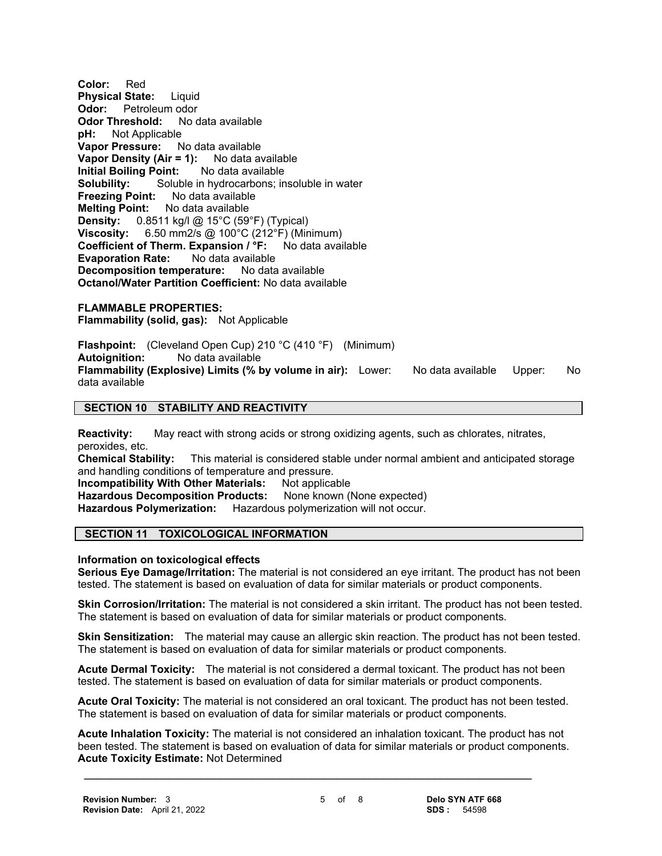**Color:** Red **Physical State:** Liquid **Odor:** Petroleum odor **Odor Threshold:** No data available **pH:** Not Applicable **Vapor Pressure:** No data available **Vapor Density (Air = 1):** No data available **Initial Boiling Point:** No data available **Solubility:** Soluble in hydrocarbons; insoluble in water<br>**Freezing Point:** No data available **Freezing Point: Melting Point:** No data available **Density:** 0.8511 kg/l @ 15°C (59°F) (Typical) **Viscosity:** 6.50 mm2/s @ 100°C (212°F) (Minimum) **Coefficient of Therm. Expansion / °F:** No data available **Evaporation Rate:** No data available **Decomposition temperature:** No data available **Octanol/Water Partition Coefficient:** No data available

**FLAMMABLE PROPERTIES: Flammability (solid, gas):** Not Applicable

**Flashpoint:** (Cleveland Open Cup) 210 °C (410 °F) (Minimum)<br>**Autoignition:** No data available **Autoignition:** No data available **Flammability (Explosive) Limits (% by volume in air):** Lower: No data available Upper: No data available

## **SECTION 10 STABILITY AND REACTIVITY**

**Reactivity:** May react with strong acids or strong oxidizing agents, such as chlorates, nitrates, peroxides, etc.

**Chemical Stability:** This material is considered stable under normal ambient and anticipated storage and handling conditions of temperature and pressure.

**Incompatibility With Other Materials:** Not applicable

**Hazardous Decomposition Products:** None known (None expected)

**Hazardous Polymerization:** Hazardous polymerization will not occur.

#### **SECTION 11 TOXICOLOGICAL INFORMATION**

#### **Information on toxicological effects**

**Serious Eye Damage/Irritation:** The material is not considered an eye irritant. The product has not been tested. The statement is based on evaluation of data for similar materials or product components.

**Skin Corrosion/Irritation:** The material is not considered a skin irritant. The product has not been tested. The statement is based on evaluation of data for similar materials or product components.

**Skin Sensitization:** The material may cause an allergic skin reaction. The product has not been tested. The statement is based on evaluation of data for similar materials or product components.

**Acute Dermal Toxicity:** The material is not considered a dermal toxicant. The product has not been tested. The statement is based on evaluation of data for similar materials or product components.

**Acute Oral Toxicity:** The material is not considered an oral toxicant. The product has not been tested. The statement is based on evaluation of data for similar materials or product components.

**Acute Inhalation Toxicity:** The material is not considered an inhalation toxicant. The product has not been tested. The statement is based on evaluation of data for similar materials or product components. **Acute Toxicity Estimate:** Not Determined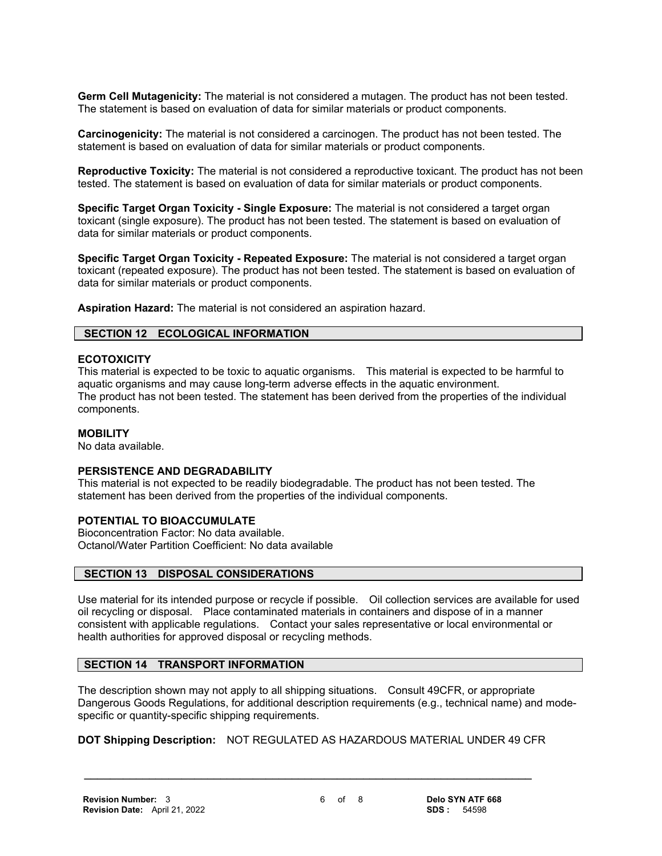**Germ Cell Mutagenicity:** The material is not considered a mutagen. The product has not been tested. The statement is based on evaluation of data for similar materials or product components.

**Carcinogenicity:** The material is not considered a carcinogen. The product has not been tested. The statement is based on evaluation of data for similar materials or product components.

**Reproductive Toxicity:** The material is not considered a reproductive toxicant. The product has not been tested. The statement is based on evaluation of data for similar materials or product components.

**Specific Target Organ Toxicity - Single Exposure:** The material is not considered a target organ toxicant (single exposure). The product has not been tested. The statement is based on evaluation of data for similar materials or product components.

**Specific Target Organ Toxicity - Repeated Exposure:** The material is not considered a target organ toxicant (repeated exposure). The product has not been tested. The statement is based on evaluation of data for similar materials or product components.

**Aspiration Hazard:** The material is not considered an aspiration hazard.

## **SECTION 12 ECOLOGICAL INFORMATION**

#### **ECOTOXICITY**

This material is expected to be toxic to aquatic organisms. This material is expected to be harmful to aquatic organisms and may cause long-term adverse effects in the aquatic environment. The product has not been tested. The statement has been derived from the properties of the individual components.

#### **MOBILITY**

No data available.

#### **PERSISTENCE AND DEGRADABILITY**

This material is not expected to be readily biodegradable. The product has not been tested. The statement has been derived from the properties of the individual components.

#### **POTENTIAL TO BIOACCUMULATE**

Bioconcentration Factor: No data available. Octanol/Water Partition Coefficient: No data available

#### **SECTION 13 DISPOSAL CONSIDERATIONS**

Use material for its intended purpose or recycle if possible. Oil collection services are available for used oil recycling or disposal. Place contaminated materials in containers and dispose of in a manner consistent with applicable regulations. Contact your sales representative or local environmental or health authorities for approved disposal or recycling methods.

#### **SECTION 14 TRANSPORT INFORMATION**

The description shown may not apply to all shipping situations. Consult 49CFR, or appropriate Dangerous Goods Regulations, for additional description requirements (e.g., technical name) and modespecific or quantity-specific shipping requirements.

## **DOT Shipping Description:** NOT REGULATED AS HAZARDOUS MATERIAL UNDER 49 CFR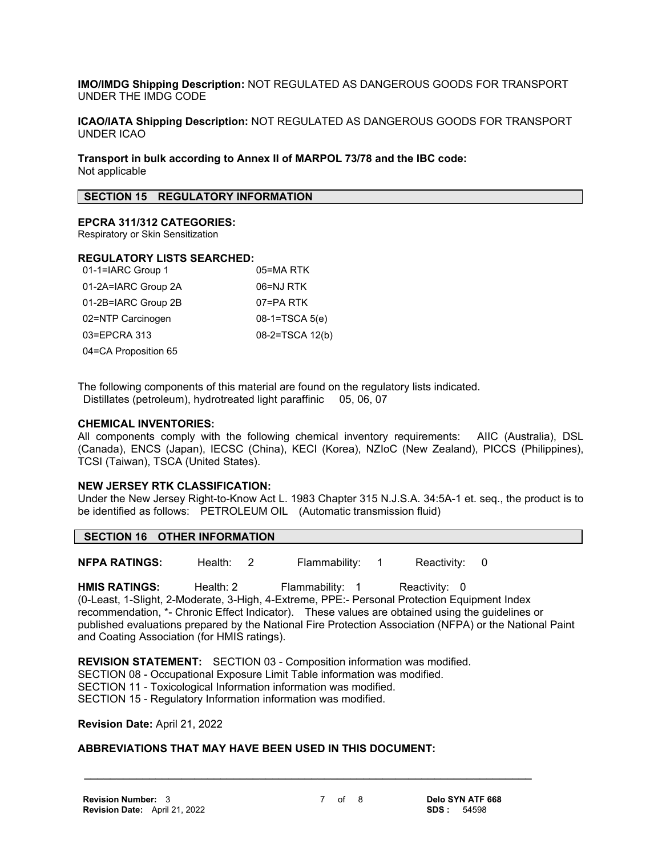**IMO/IMDG Shipping Description:** NOT REGULATED AS DANGEROUS GOODS FOR TRANSPORT UNDER THE IMDG CODE

**ICAO/IATA Shipping Description:** NOT REGULATED AS DANGEROUS GOODS FOR TRANSPORT UNDER ICAO

**Transport in bulk according to Annex II of MARPOL 73/78 and the IBC code:** Not applicable

## **SECTION 15 REGULATORY INFORMATION**

#### **EPCRA 311/312 CATEGORIES:**

Respiratory or Skin Sensitization

## **REGULATORY LISTS SEARCHED:**

| 01-1=IARC Group 1    | 05=MA RTK        |
|----------------------|------------------|
| 01-2A=IARC Group 2A  | 06=NJ RTK        |
| 01-2B=IARC Group 2B  | 07=PA RTK        |
| 02=NTP Carcinogen    | $08-1=TSCA 5(e)$ |
| 03=EPCRA 313         | 08-2=TSCA 12(b)  |
| 04=CA Proposition 65 |                  |

The following components of this material are found on the regulatory lists indicated. Distillates (petroleum), hydrotreated light paraffinic 05, 06, 07

#### **CHEMICAL INVENTORIES:**

All components comply with the following chemical inventory requirements: AIIC (Australia), DSL (Canada), ENCS (Japan), IECSC (China), KECI (Korea), NZIoC (New Zealand), PICCS (Philippines), TCSI (Taiwan), TSCA (United States).

#### **NEW JERSEY RTK CLASSIFICATION:**

Under the New Jersey Right-to-Know Act L. 1983 Chapter 315 N.J.S.A. 34:5A-1 et. seq., the product is to be identified as follows: PETROLEUM OIL (Automatic transmission fluid)

#### **SECTION 16 OTHER INFORMATION**

**NFPA RATINGS:** Health: 2 Flammability: 1 Reactivity: 0

HMIS RATINGS: Health: 2 Flammability: 1 Reactivity: 0 (0-Least, 1-Slight, 2-Moderate, 3-High, 4-Extreme, PPE:- Personal Protection Equipment Index recommendation, \*- Chronic Effect Indicator). These values are obtained using the guidelines or published evaluations prepared by the National Fire Protection Association (NFPA) or the National Paint and Coating Association (for HMIS ratings).

**REVISION STATEMENT:** SECTION 03 - Composition information was modified. SECTION 08 - Occupational Exposure Limit Table information was modified. SECTION 11 - Toxicological Information information was modified. SECTION 15 - Regulatory Information information was modified.

#### **Revision Date:** April 21, 2022

## **ABBREVIATIONS THAT MAY HAVE BEEN USED IN THIS DOCUMENT:**